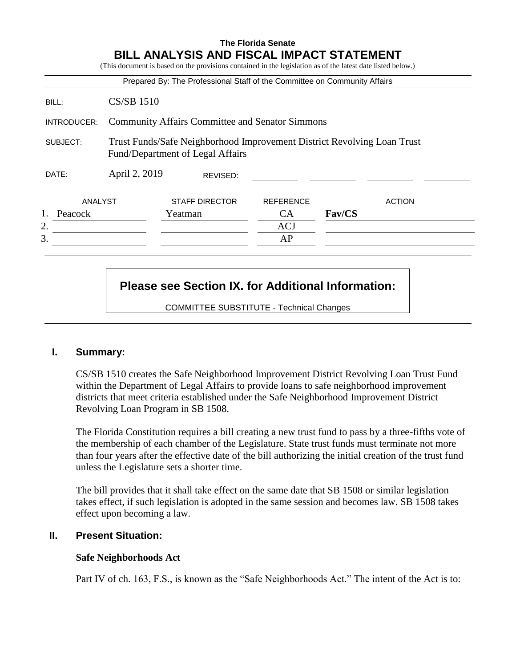|             |                                                                                                             | Prepared By: The Professional Staff of the Committee on Community Affairs |                  |               |
|-------------|-------------------------------------------------------------------------------------------------------------|---------------------------------------------------------------------------|------------------|---------------|
| BILL:       | <b>CS/SB 1510</b>                                                                                           |                                                                           |                  |               |
| INTRODUCER: |                                                                                                             | <b>Community Affairs Committee and Senator Simmons</b>                    |                  |               |
| SUBJECT:    | Trust Funds/Safe Neighborhood Improvement District Revolving Loan Trust<br>Fund/Department of Legal Affairs |                                                                           |                  |               |
| DATE:       | April 2, 2019                                                                                               | REVISED:                                                                  |                  |               |
| ANALYST     |                                                                                                             | <b>STAFF DIRECTOR</b>                                                     | <b>REFERENCE</b> | <b>ACTION</b> |
| Peacock     |                                                                                                             | Yeatman                                                                   | <b>CA</b>        | Fav/CS        |
|             |                                                                                                             |                                                                           | <b>ACJ</b>       |               |
|             |                                                                                                             |                                                                           | AP               |               |

# **Please see Section IX. for Additional Information:**

COMMITTEE SUBSTITUTE - Technical Changes

## **I. Summary:**

CS/SB 1510 creates the Safe Neighborhood Improvement District Revolving Loan Trust Fund within the Department of Legal Affairs to provide loans to safe neighborhood improvement districts that meet criteria established under the Safe Neighborhood Improvement District Revolving Loan Program in SB 1508.

The Florida Constitution requires a bill creating a new trust fund to pass by a three-fifths vote of the membership of each chamber of the Legislature. State trust funds must terminate not more than four years after the effective date of the bill authorizing the initial creation of the trust fund unless the Legislature sets a shorter time.

The bill provides that it shall take effect on the same date that SB 1508 or similar legislation takes effect, if such legislation is adopted in the same session and becomes law. SB 1508 takes effect upon becoming a law.

### **II. Present Situation:**

### **Safe Neighborhoods Act**

Part IV of ch. 163, F.S., is known as the "Safe Neighborhoods Act." The intent of the Act is to: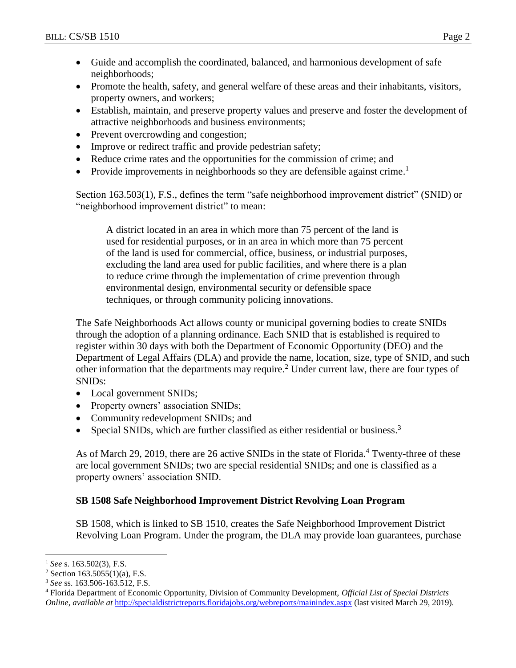- Guide and accomplish the coordinated, balanced, and harmonious development of safe neighborhoods;
- Promote the health, safety, and general welfare of these areas and their inhabitants, visitors, property owners, and workers;
- Establish, maintain, and preserve property values and preserve and foster the development of attractive neighborhoods and business environments;
- Prevent overcrowding and congestion;
- Improve or redirect traffic and provide pedestrian safety;
- Reduce crime rates and the opportunities for the commission of crime; and
- Provide improvements in neighborhoods so they are defensible against crime.<sup>1</sup>

Section 163.503(1), F.S., defines the term "safe neighborhood improvement district" (SNID) or "neighborhood improvement district" to mean:

A district located in an area in which more than 75 percent of the land is used for residential purposes, or in an area in which more than 75 percent of the land is used for commercial, office, business, or industrial purposes, excluding the land area used for public facilities, and where there is a plan to reduce crime through the implementation of crime prevention through environmental design, environmental security or defensible space techniques, or through community policing innovations.

The Safe Neighborhoods Act allows county or municipal governing bodies to create SNIDs through the adoption of a planning ordinance. Each SNID that is established is required to register within 30 days with both the Department of Economic Opportunity (DEO) and the Department of Legal Affairs (DLA) and provide the name, location, size, type of SNID, and such other information that the departments may require.<sup>2</sup> Under current law, there are four types of SNIDs:

- Local government SNIDs;
- Property owners' association SNIDs;
- Community redevelopment SNIDs; and
- Special SNIDs, which are further classified as either residential or business.<sup>3</sup>

As of March 29, 2019, there are 26 active SNIDs in the state of Florida.<sup>4</sup> Twenty-three of these are local government SNIDs; two are special residential SNIDs; and one is classified as a property owners' association SNID.

## **SB 1508 Safe Neighborhood Improvement District Revolving Loan Program**

SB 1508, which is linked to SB 1510, creates the Safe Neighborhood Improvement District Revolving Loan Program. Under the program, the DLA may provide loan guarantees, purchase

 $\overline{a}$ 

<sup>1</sup> *See* s. 163.502(3), F.S.

 $2$  Section 163.5055(1)(a), F.S.

<sup>3</sup> *See* ss. 163.506-163.512, F.S.

<sup>4</sup> Florida Department of Economic Opportunity, Division of Community Development, *Official List of Special Districts Online*, *available at* <http://specialdistrictreports.floridajobs.org/webreports/mainindex.aspx> (last visited March 29, 2019).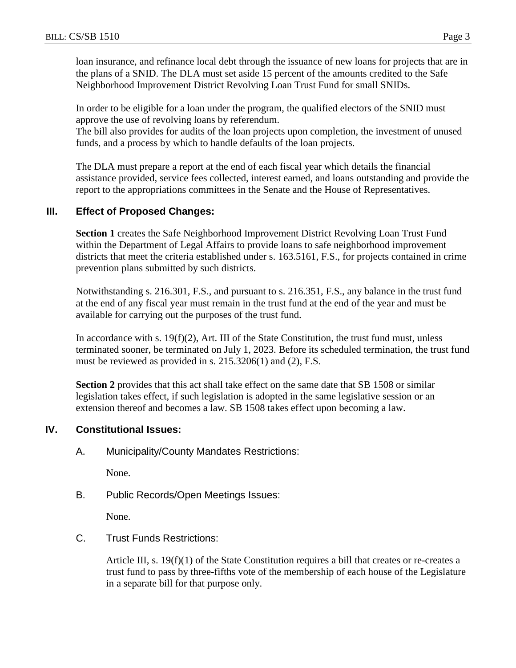loan insurance, and refinance local debt through the issuance of new loans for projects that are in the plans of a SNID. The DLA must set aside 15 percent of the amounts credited to the Safe Neighborhood Improvement District Revolving Loan Trust Fund for small SNIDs.

In order to be eligible for a loan under the program, the qualified electors of the SNID must approve the use of revolving loans by referendum.

The bill also provides for audits of the loan projects upon completion, the investment of unused funds, and a process by which to handle defaults of the loan projects.

The DLA must prepare a report at the end of each fiscal year which details the financial assistance provided, service fees collected, interest earned, and loans outstanding and provide the report to the appropriations committees in the Senate and the House of Representatives.

## **III. Effect of Proposed Changes:**

**Section 1** creates the Safe Neighborhood Improvement District Revolving Loan Trust Fund within the Department of Legal Affairs to provide loans to safe neighborhood improvement districts that meet the criteria established under s. 163.5161, F.S., for projects contained in crime prevention plans submitted by such districts.

Notwithstanding s. 216.301, F.S., and pursuant to s. 216.351, F.S., any balance in the trust fund at the end of any fiscal year must remain in the trust fund at the end of the year and must be available for carrying out the purposes of the trust fund.

In accordance with s. 19(f)(2), Art. III of the State Constitution, the trust fund must, unless terminated sooner, be terminated on July 1, 2023. Before its scheduled termination, the trust fund must be reviewed as provided in s. 215.3206(1) and (2), F.S.

**Section 2** provides that this act shall take effect on the same date that SB 1508 or similar legislation takes effect, if such legislation is adopted in the same legislative session or an extension thereof and becomes a law. SB 1508 takes effect upon becoming a law.

## **IV. Constitutional Issues:**

A. Municipality/County Mandates Restrictions:

None.

B. Public Records/Open Meetings Issues:

None.

C. Trust Funds Restrictions:

Article III, s. 19(f)(1) of the State Constitution requires a bill that creates or re-creates a trust fund to pass by three-fifths vote of the membership of each house of the Legislature in a separate bill for that purpose only.